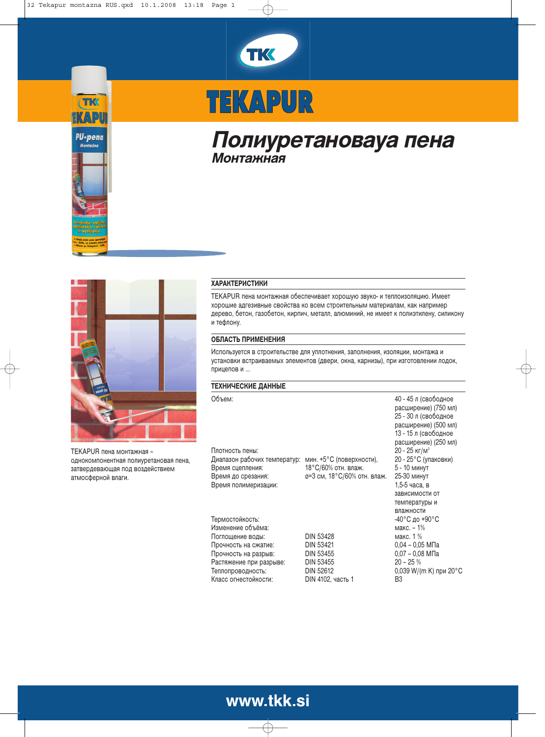



# TEKAPUR

# Полиуретановауа пена Монтажная



TEKAPUR пена монтажная – однокомпонентная полиуретановая пена, затвердевающая под воздействием атмосферной влаги.

## **ХАРАКТЕРИСТИКИ**

TEKAPUR пена монтажная обеспечивает хорошую звуко- и теплоизоляцию. Имеет хорошие адгезивные свойства ко всем строительным материалам, как например дерево, бетон, газобетон, кирпич, металл, алюминий, не имеет к полиэтилену, силикону и тефлону.

### ОБЛАСТЬ ПРИМЕНЕНИЯ

Используется в строительстве для уплотнения, заполнения, изоляции, монтажа и установки встраиваемых элементов (двери, окна, карнизы), при изготовлении лодок, прицепов и ...

#### ТЕХНИЧЕСКИЕ ДАННЫЕ

Объем:

Плотность пены: Диапазон рабочих температур: мин. +5°С (пове Время сцепле 18°С/60% отн. влаж. Время до сре Время полиме

Термостойкость:  $^{-40^{\circ}\mathrm{C}}$  д Изменение Поглощение вод Прочность на сжатие: Прочность на разрыв: Растяжение при разрыве Теплопровод Класс огнестойкости:

ø=3 см, 18°С/60% отн. влаж. 25-30 минут

DIN 53428 макс. 1 % DIN 53421 0,04 − 0,05 MΠa<br>DIN 53455 0,07 − 0,08 MПa DIN 53455 20 – 25 %<br>DIN 52612 0.039 W/(i DIN 4102, часть 1 В3

: 40 - 45  ( расширение) (750 мл) 25 - 30 л (свободное расширение) (500 мл) 13 - 15 л (свободное расширение) (250 мл)  $20 - 25$  KF/M<sup>3</sup> 20 - 25°С (упаковки)<br>5 - 10 минут 1.5-5 часа. в зависимости от температуры и влажности -40°С до +90°С макс. – 1% 0,039 W/(m K) при 20°С

# www.tkk.si

€